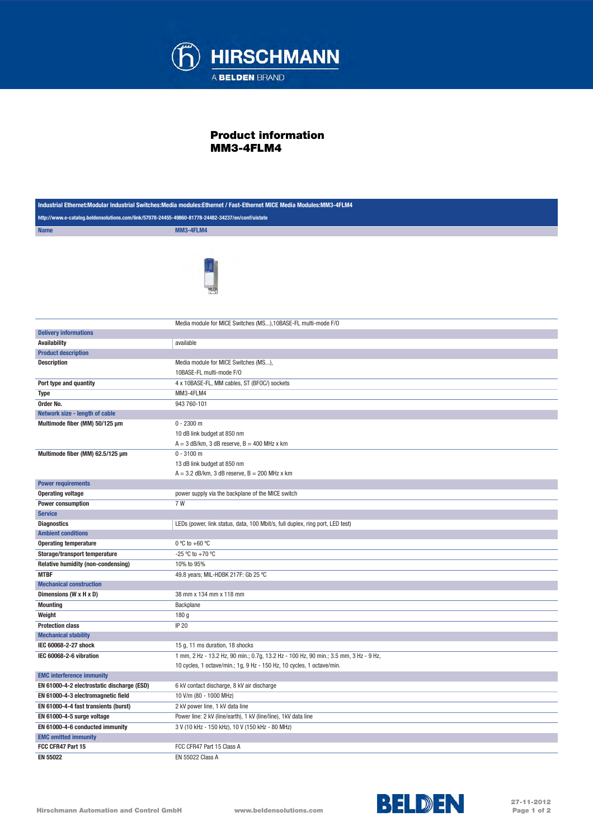

## Product information MM3-4FLM4

| Industrial Ethernet:Modular Industrial Switches:Media modules:Ethernet / Fast-Ethernet MICE Media Modules:MM3-4FLM4 |                                                                                      |  |
|---------------------------------------------------------------------------------------------------------------------|--------------------------------------------------------------------------------------|--|
| http://www.e-catalog.beldensolutions.com/link/57078-24455-49860-81778-24482-34237/en/conf/uistate                   |                                                                                      |  |
| <b>Name</b>                                                                                                         | MM3-4FLM4                                                                            |  |
|                                                                                                                     |                                                                                      |  |
|                                                                                                                     |                                                                                      |  |
|                                                                                                                     | Media module for MICE Switches (MS), 10BASE-FL multi-mode F/O                        |  |
| <b>Delivery informations</b>                                                                                        |                                                                                      |  |
| <b>Availability</b>                                                                                                 | available                                                                            |  |
| <b>Product description</b>                                                                                          |                                                                                      |  |
| <b>Description</b>                                                                                                  | Media module for MICE Switches (MS),                                                 |  |
|                                                                                                                     | 10BASE-FL multi-mode F/O                                                             |  |
| Port type and quantity                                                                                              | 4 x 10BASE-FL, MM cables, ST (BFOC/) sockets                                         |  |
| Type                                                                                                                | MM3-4FLM4                                                                            |  |
| Order No.                                                                                                           | 943 760-101                                                                          |  |
| Network size - length of cable                                                                                      |                                                                                      |  |
| Multimode fiber (MM) 50/125 µm                                                                                      | $0 - 2300$ m                                                                         |  |
|                                                                                                                     | 10 dB link budget at 850 nm                                                          |  |
|                                                                                                                     | $A = 3$ dB/km, 3 dB reserve, $B = 400$ MHz x km                                      |  |
| Multimode fiber (MM) 62.5/125 µm                                                                                    | $0 - 3100$ m                                                                         |  |
|                                                                                                                     | 13 dB link budget at 850 nm                                                          |  |
|                                                                                                                     | $A = 3.2$ dB/km, 3 dB reserve, $B = 200$ MHz x km                                    |  |
| <b>Power requirements</b>                                                                                           |                                                                                      |  |
| <b>Operating voltage</b>                                                                                            | power supply via the backplane of the MICE switch                                    |  |
| <b>Power consumption</b>                                                                                            | 7W                                                                                   |  |
| <b>Service</b>                                                                                                      |                                                                                      |  |
| <b>Diagnostics</b>                                                                                                  | LEDs (power, link status, data, 100 Mbit/s, full duplex, ring port, LED test)        |  |
| <b>Ambient conditions</b>                                                                                           |                                                                                      |  |
| <b>Operating temperature</b>                                                                                        | $0^{\circ}$ C to +60 $^{\circ}$ C                                                    |  |
| Storage/transport temperature                                                                                       | -25 °C to +70 °C                                                                     |  |
| <b>Relative humidity (non-condensing)</b>                                                                           | 10% to 95%                                                                           |  |
| <b>MTBF</b>                                                                                                         | 49.8 years; MIL-HDBK 217F: Gb 25 °C                                                  |  |
| <b>Mechanical construction</b>                                                                                      |                                                                                      |  |
| Dimensions (W x H x D)                                                                                              | 38 mm x 134 mm x 118 mm                                                              |  |
| <b>Mounting</b>                                                                                                     | Backplane                                                                            |  |
| Weight                                                                                                              | 180 g                                                                                |  |
| <b>Protection class</b>                                                                                             | IP 20                                                                                |  |
| <b>Mechanical stability</b>                                                                                         |                                                                                      |  |
| IEC 60068-2-27 shock                                                                                                | 15 g, 11 ms duration, 18 shocks                                                      |  |
| IEC 60068-2-6 vibration                                                                                             | 1 mm, 2 Hz - 13.2 Hz, 90 min.; 0.7g, 13.2 Hz - 100 Hz, 90 min.; 3.5 mm, 3 Hz - 9 Hz, |  |
|                                                                                                                     | 10 cycles, 1 octave/min.; 1g, 9 Hz - 150 Hz, 10 cycles, 1 octave/min.                |  |
| <b>EMC interference immunity</b>                                                                                    |                                                                                      |  |
| EN 61000-4-2 electrostatic discharge (ESD)                                                                          | 6 kV contact discharge, 8 kV air discharge                                           |  |
| EN 61000-4-3 electromagnetic field                                                                                  | 10 V/m (80 - 1000 MHz)                                                               |  |
| EN 61000-4-4 fast transients (burst)                                                                                | 2 kV power line, 1 kV data line                                                      |  |
| EN 61000-4-5 surge voltage                                                                                          | Power line: 2 kV (line/earth), 1 kV (line/line), 1 kV data line                      |  |
| EN 61000-4-6 conducted immunity                                                                                     | 3 V (10 kHz - 150 kHz), 10 V (150 kHz - 80 MHz)                                      |  |
| <b>EMC emitted immunity</b>                                                                                         |                                                                                      |  |
| FCC CFR47 Part 15                                                                                                   | FCC CFR47 Part 15 Class A                                                            |  |
| <b>EN 55022</b>                                                                                                     | EN 55022 Class A                                                                     |  |